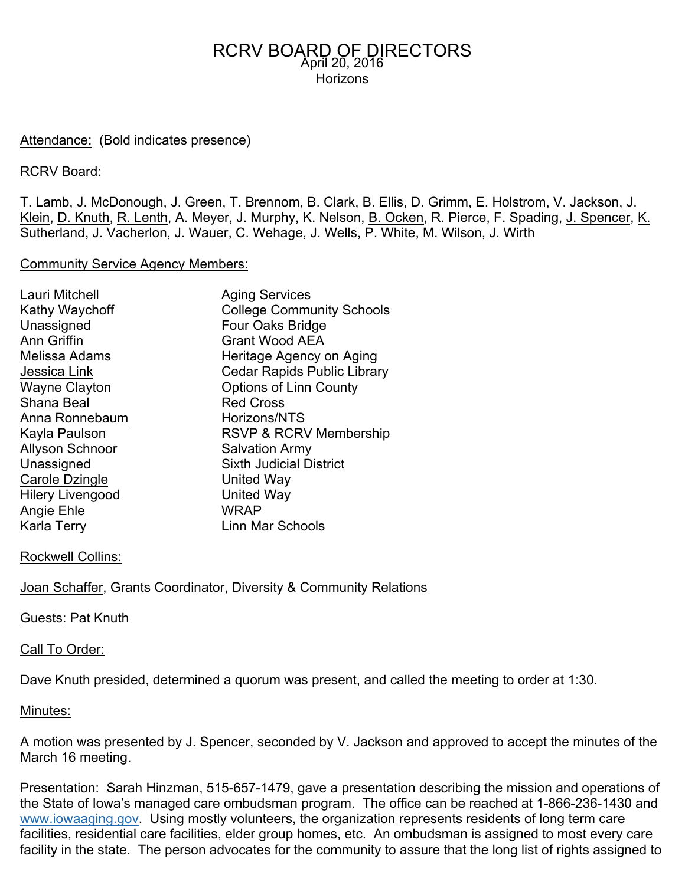## Attendance: (Bold indicates presence)

## RCRV Board:

T. Lamb, J. McDonough, J. Green, T. Brennom, B. Clark, B. Ellis, D. Grimm, E. Holstrom, V. Jackson, J. Klein, D. Knuth, R. Lenth, A. Meyer, J. Murphy, K. Nelson, B. Ocken, R. Pierce, F. Spading, J. Spencer, K. Sutherland, J. Vacherlon, J. Wauer, C. Wehage, J. Wells, P. White, M. Wilson, J. Wirth

### Community Service Agency Members:

| Lauri Mitchell<br>Kathy Waychoff<br>Unassigned<br><b>Ann Griffin</b><br>Melissa Adams<br>Jessica Link<br><b>Wayne Clayton</b><br>Shana Beal<br>Anna Ronnebaum<br>Kayla Paulson<br><b>Allyson Schnoor</b><br>Unassigned<br>Carole Dzingle<br><b>Hilery Livengood</b><br>Angie Ehle | <b>Aging Services</b><br><b>College Community Schools</b><br>Four Oaks Bridge<br><b>Grant Wood AEA</b><br>Heritage Agency on Aging<br><b>Cedar Rapids Public Library</b><br><b>Options of Linn County</b><br><b>Red Cross</b><br>Horizons/NTS<br>RSVP & RCRV Membership<br><b>Salvation Army</b><br><b>Sixth Judicial District</b><br>United Way<br><b>United Way</b><br><b>WRAP</b> |
|-----------------------------------------------------------------------------------------------------------------------------------------------------------------------------------------------------------------------------------------------------------------------------------|--------------------------------------------------------------------------------------------------------------------------------------------------------------------------------------------------------------------------------------------------------------------------------------------------------------------------------------------------------------------------------------|
| Karla Terry                                                                                                                                                                                                                                                                       | <b>Linn Mar Schools</b>                                                                                                                                                                                                                                                                                                                                                              |
|                                                                                                                                                                                                                                                                                   |                                                                                                                                                                                                                                                                                                                                                                                      |

### Rockwell Collins:

**Joan Schaffer, Grants Coordinator, Diversity & Community Relations** 

Guests: Pat Knuth

## Call To Order:

Dave Knuth presided, determined a quorum was present, and called the meeting to order at 1:30.

### Minutes:

A motion was presented by J. Spencer, seconded by V. Jackson and approved to accept the minutes of the March 16 meeting.

Presentation: Sarah Hinzman, 515-657-1479, gave a presentation describing the mission and operations of the State of Iowa's managed care ombudsman program. The office can be reached at 1-866-236-1430 and www.iowaaging.gov. Using mostly volunteers, the organization represents residents of long term care facilities, residential care facilities, elder group homes, etc. An ombudsman is assigned to most every care facility in the state. The person advocates for the community to assure that the long list of rights assigned to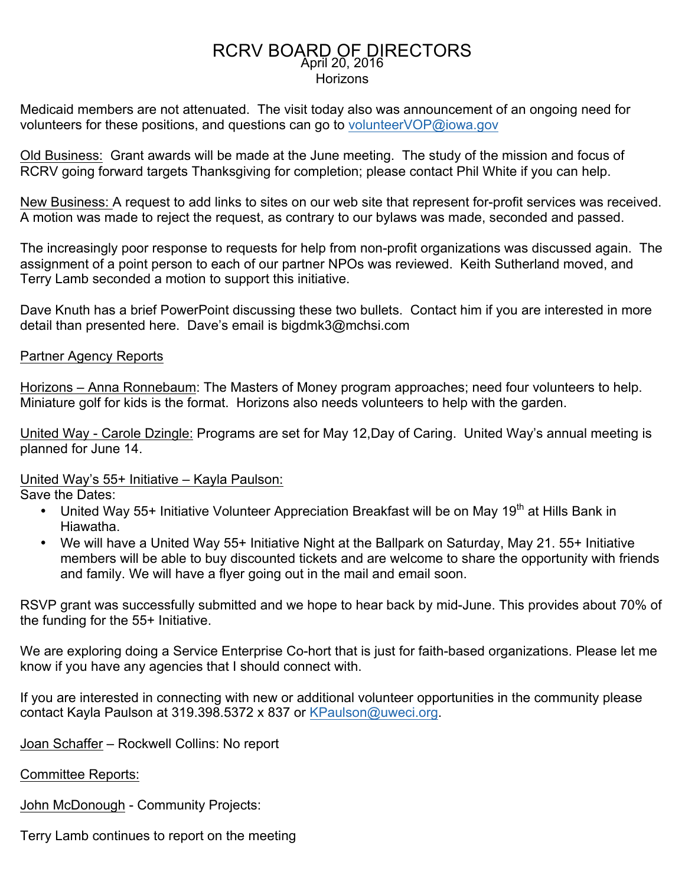Medicaid members are not attenuated. The visit today also was announcement of an ongoing need for volunteers for these positions, and questions can go to volunteerVOP@iowa.gov

Old Business: Grant awards will be made at the June meeting. The study of the mission and focus of RCRV going forward targets Thanksgiving for completion; please contact Phil White if you can help.

New Business: A request to add links to sites on our web site that represent for-profit services was received. A motion was made to reject the request, as contrary to our bylaws was made, seconded and passed.

The increasingly poor response to requests for help from non-profit organizations was discussed again. The assignment of a point person to each of our partner NPOs was reviewed. Keith Sutherland moved, and Terry Lamb seconded a motion to support this initiative.

Dave Knuth has a brief PowerPoint discussing these two bullets. Contact him if you are interested in more detail than presented here. Dave's email is bigdmk3@mchsi.com

## Partner Agency Reports

Horizons – Anna Ronnebaum: The Masters of Money program approaches; need four volunteers to help. Miniature golf for kids is the format. Horizons also needs volunteers to help with the garden.

United Way - Carole Dzingle: Programs are set for May 12,Day of Caring. United Way's annual meeting is planned for June 14.

United Way's 55+ Initiative – Kayla Paulson:

Save the Dates:

- United Way 55+ Initiative Volunteer Appreciation Breakfast will be on May 19<sup>th</sup> at Hills Bank in Hiawatha.
- We will have a United Way 55+ Initiative Night at the Ballpark on Saturday, May 21. 55+ Initiative members will be able to buy discounted tickets and are welcome to share the opportunity with friends and family. We will have a flyer going out in the mail and email soon.

RSVP grant was successfully submitted and we hope to hear back by mid-June. This provides about 70% of the funding for the 55+ Initiative.

We are exploring doing a Service Enterprise Co-hort that is just for faith-based organizations. Please let me know if you have any agencies that I should connect with.

If you are interested in connecting with new or additional volunteer opportunities in the community please contact Kayla Paulson at 319.398.5372 x 837 or KPaulson@uweci.org.

Joan Schaffer – Rockwell Collins: No report

Committee Reports:

John McDonough - Community Projects:

Terry Lamb continues to report on the meeting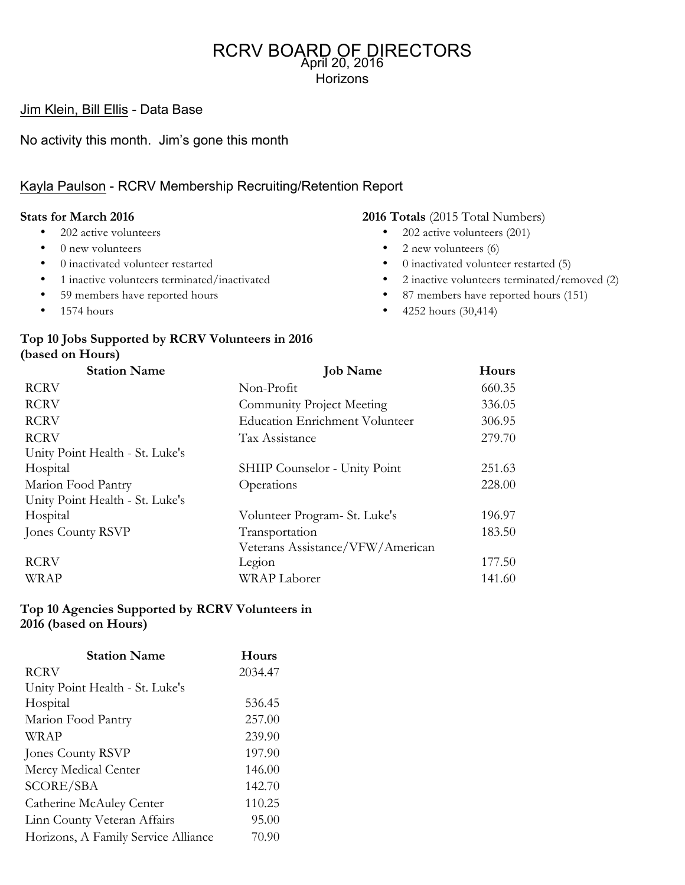Jim Klein, Bill Ellis - Data Base

No activity this month. Jim's gone this month

# Kayla Paulson - RCRV Membership Recruiting/Retention Report

#### **Stats for March 2016**

- 202 active volunteers
- 0 new volunteers
- 0 inactivated volunteer restarted
- 1 inactive volunteers terminated/inactivated
- 59 members have reported hours
- $\bullet$  1574 hours

#### **2016 Totals** (2015 Total Numbers)

- 202 active volunteers (201)
- 2 new volunteers  $(6)$
- 0 inactivated volunteer restarted (5)
- 2 inactive volunteers terminated/removed (2)
- 87 members have reported hours (151)
- 4252 hours (30,414)

# **Top 10 Jobs Supported by RCRV Volunteers in 2016 (based on Hours)**

| <b>Station Name</b>             | <b>Job Name</b>                       | Hours  |
|---------------------------------|---------------------------------------|--------|
| <b>RCRV</b>                     | Non-Profit                            | 660.35 |
| <b>RCRV</b>                     | <b>Community Project Meeting</b>      | 336.05 |
| <b>RCRV</b>                     | <b>Education Enrichment Volunteer</b> | 306.95 |
| <b>RCRV</b>                     | Tax Assistance                        | 279.70 |
| Unity Point Health - St. Luke's |                                       |        |
| Hospital                        | SHIIP Counselor - Unity Point         | 251.63 |
| Marion Food Pantry              | Operations                            | 228.00 |
| Unity Point Health - St. Luke's |                                       |        |
| Hospital                        | Volunteer Program- St. Luke's         | 196.97 |
| Jones County RSVP               | Transportation                        | 183.50 |
|                                 | Veterans Assistance/VFW/American      |        |
| <b>RCRV</b>                     | Legion                                | 177.50 |
| <b>WRAP</b>                     | <b>WRAP</b> Laborer                   | 141.60 |

### **Top 10 Agencies Supported by RCRV Volunteers in 2016 (based on Hours)**

| <b>Station Name</b>                 | Hours   |  |
|-------------------------------------|---------|--|
| <b>RCRV</b>                         | 2034.47 |  |
| Unity Point Health - St. Luke's     |         |  |
| Hospital                            | 536.45  |  |
| Marion Food Pantry                  | 257.00  |  |
| WRAP                                | 239.90  |  |
| Jones County RSVP                   | 197.90  |  |
| Mercy Medical Center                | 146.00  |  |
| <b>SCORE/SBA</b>                    | 142.70  |  |
| Catherine McAuley Center            | 110.25  |  |
| Linn County Veteran Affairs         | 95.00   |  |
| Horizons, A Family Service Alliance | 70.90   |  |